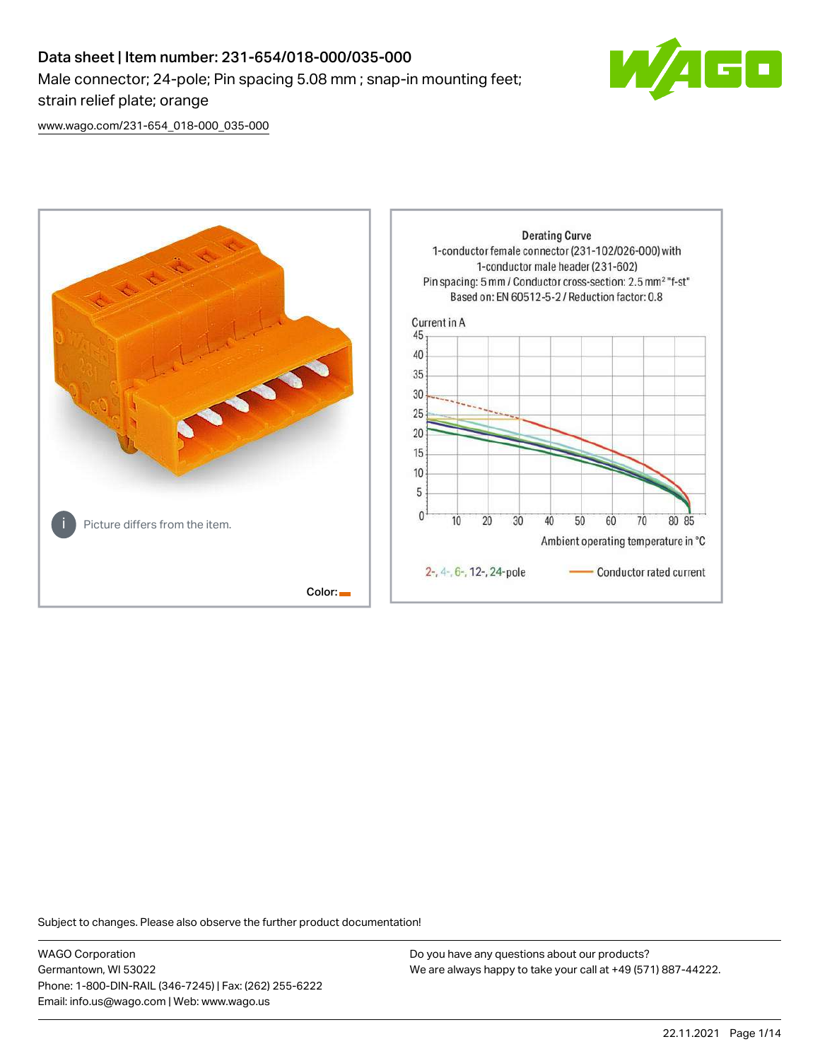# Data sheet | Item number: 231-654/018-000/035-000 Male connector; 24-pole; Pin spacing 5.08 mm ; snap-in mounting feet; strain relief plate; orange



[www.wago.com/231-654\\_018-000\\_035-000](http://www.wago.com/231-654_018-000_035-000)



Subject to changes. Please also observe the further product documentation!

WAGO Corporation Germantown, WI 53022 Phone: 1-800-DIN-RAIL (346-7245) | Fax: (262) 255-6222 Email: info.us@wago.com | Web: www.wago.us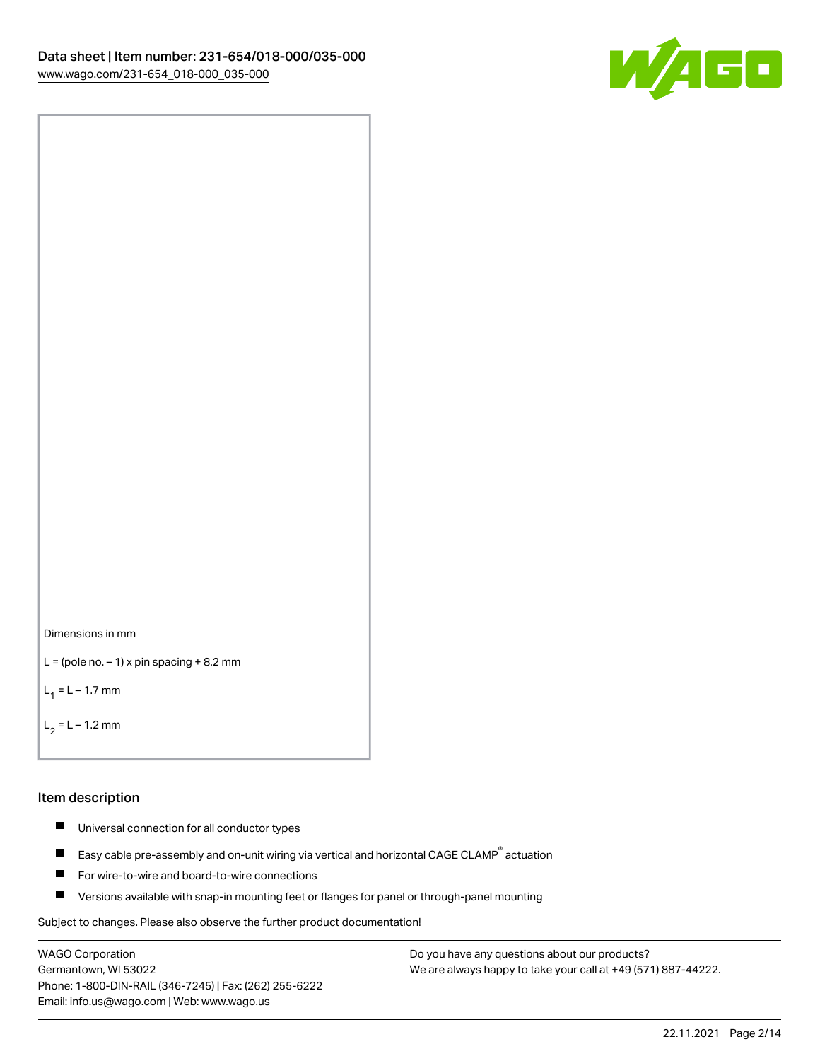



```
L = (pole no. -1) x pin spacing +8.2 mm
```
 $L_1 = L - 1.7$  mm

```
L_2 = L - 1.2 mm
```
#### Item description

- $\blacksquare$ Universal connection for all conductor types
- Easy cable pre-assembly and on-unit wiring via vertical and horizontal CAGE CLAMP<sup>®</sup> actuation  $\blacksquare$
- $\blacksquare$ For wire-to-wire and board-to-wire connections
- $\blacksquare$ Versions available with snap-in mounting feet or flanges for panel or through-panel mounting

Subject to changes. Please also observe the further product documentation!

WAGO Corporation Germantown, WI 53022 Phone: 1-800-DIN-RAIL (346-7245) | Fax: (262) 255-6222 Email: info.us@wago.com | Web: www.wago.us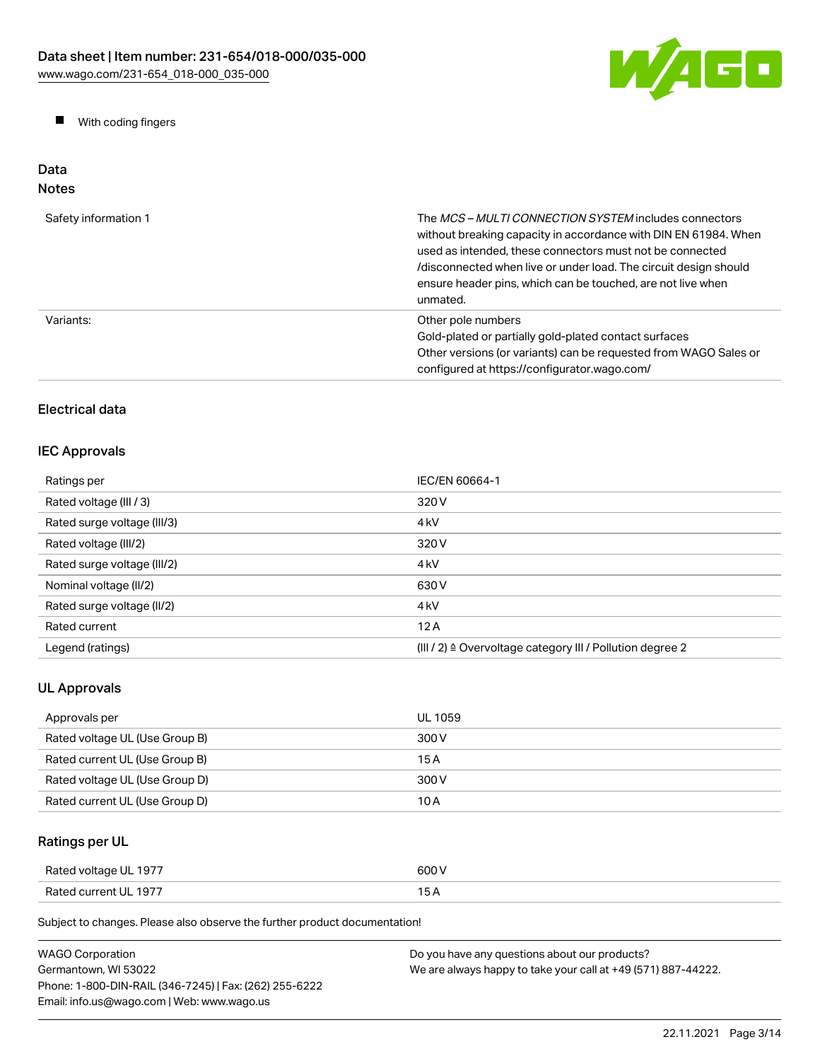

 $\blacksquare$ With coding fingers

#### Data Notes

| Safety information 1 | The <i>MCS - MULTI CONNECTION SYSTEM</i> includes connectors<br>without breaking capacity in accordance with DIN EN 61984. When<br>used as intended, these connectors must not be connected<br>/disconnected when live or under load. The circuit design should<br>ensure header pins, which can be touched, are not live when<br>unmated. |
|----------------------|--------------------------------------------------------------------------------------------------------------------------------------------------------------------------------------------------------------------------------------------------------------------------------------------------------------------------------------------|
| Variants:            | Other pole numbers<br>Gold-plated or partially gold-plated contact surfaces<br>Other versions (or variants) can be requested from WAGO Sales or<br>configured at https://configurator.wago.com/                                                                                                                                            |

### Electrical data

#### IEC Approvals

| Ratings per                 | IEC/EN 60664-1                                                       |
|-----------------------------|----------------------------------------------------------------------|
| Rated voltage (III / 3)     | 320 V                                                                |
| Rated surge voltage (III/3) | 4 <sub>kV</sub>                                                      |
| Rated voltage (III/2)       | 320 V                                                                |
| Rated surge voltage (III/2) | 4 <sub>k</sub> V                                                     |
| Nominal voltage (II/2)      | 630 V                                                                |
| Rated surge voltage (II/2)  | 4 <sub>k</sub> V                                                     |
| Rated current               | 12A                                                                  |
| Legend (ratings)            | (III / 2) $\triangleq$ Overvoltage category III / Pollution degree 2 |

# UL Approvals

| Approvals per                  | UL 1059 |
|--------------------------------|---------|
| Rated voltage UL (Use Group B) | 300 V   |
| Rated current UL (Use Group B) | 15 A    |
| Rated voltage UL (Use Group D) | 300 V   |
| Rated current UL (Use Group D) | 10 A    |

# Ratings per UL

| Rated voltage UL 1977 | 600 V |
|-----------------------|-------|
| Rated current UL 1977 |       |

Subject to changes. Please also observe the further product documentation!

| <b>WAGO Corporation</b>                                | Do you have any questions about our products?                 |
|--------------------------------------------------------|---------------------------------------------------------------|
| Germantown. WI 53022                                   | We are always happy to take your call at +49 (571) 887-44222. |
| Phone: 1-800-DIN-RAIL (346-7245)   Fax: (262) 255-6222 |                                                               |
| Email: info.us@wago.com   Web: www.wago.us             |                                                               |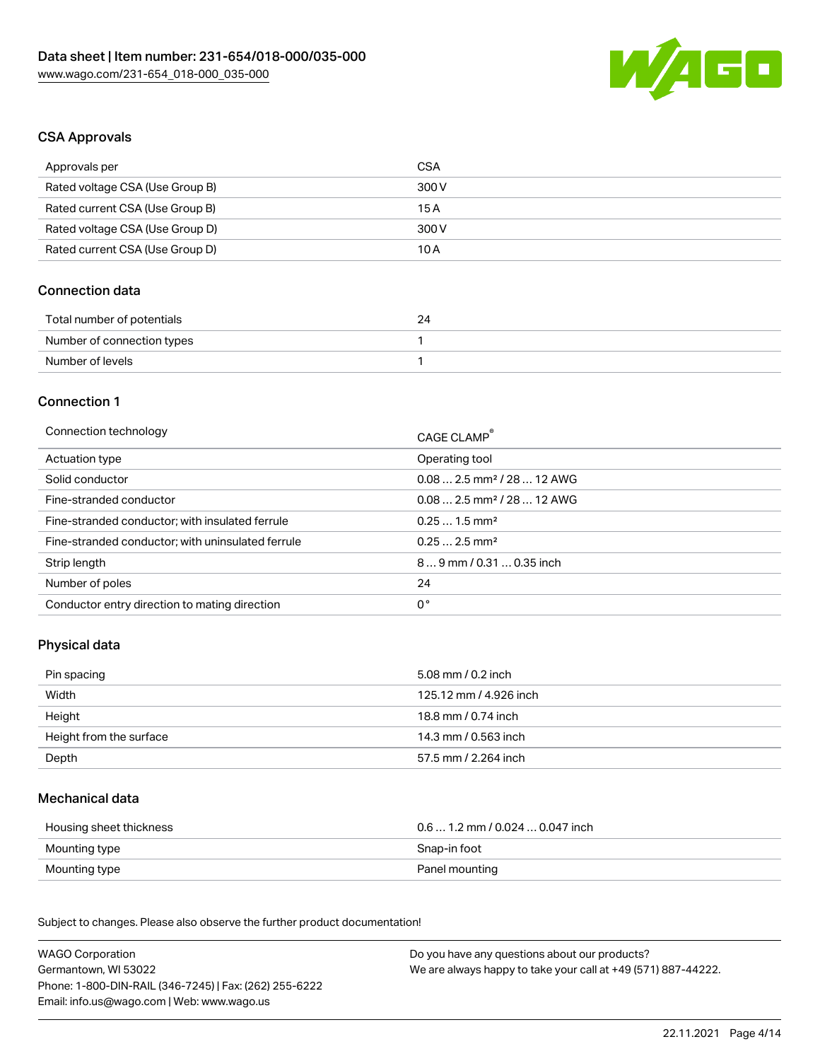

#### CSA Approvals

| Approvals per                   | CSA   |
|---------------------------------|-------|
| Rated voltage CSA (Use Group B) | 300 V |
| Rated current CSA (Use Group B) | 15A   |
| Rated voltage CSA (Use Group D) | 300 V |
| Rated current CSA (Use Group D) | 10 A  |

#### Connection data

| Total number of potentials |  |
|----------------------------|--|
| Number of connection types |  |
| Number of levels           |  |

### Connection 1

| Connection technology                             | CAGE CLAMP <sup>®</sup>                |
|---------------------------------------------------|----------------------------------------|
| Actuation type                                    | Operating tool                         |
| Solid conductor                                   | $0.082.5$ mm <sup>2</sup> / 28  12 AWG |
| Fine-stranded conductor                           | $0.082.5$ mm <sup>2</sup> / 28  12 AWG |
| Fine-stranded conductor; with insulated ferrule   | $0.251.5$ mm <sup>2</sup>              |
| Fine-stranded conductor; with uninsulated ferrule | $0.252.5$ mm <sup>2</sup>              |
| Strip length                                      | 89 mm / 0.31  0.35 inch                |
| Number of poles                                   | 24                                     |
| Conductor entry direction to mating direction     | 0°                                     |
|                                                   |                                        |

#### Physical data

| Pin spacing             | $5.08$ mm $/ 0.2$ inch |
|-------------------------|------------------------|
| Width                   | 125.12 mm / 4.926 inch |
| Height                  | 18.8 mm / 0.74 inch    |
| Height from the surface | 14.3 mm / 0.563 inch   |
| Depth                   | 57.5 mm / 2.264 inch   |

#### Mechanical data

| Housing sheet thickness | $0.61.2$ mm $/0.0240.047$ inch |
|-------------------------|--------------------------------|
| Mounting type           | Snap-in foot                   |
| Mounting type           | Panel mounting                 |

Subject to changes. Please also observe the further product documentation!

| <b>WAGO Corporation</b>                                | Do you have any questions about our products?                 |
|--------------------------------------------------------|---------------------------------------------------------------|
| Germantown, WI 53022                                   | We are always happy to take your call at +49 (571) 887-44222. |
| Phone: 1-800-DIN-RAIL (346-7245)   Fax: (262) 255-6222 |                                                               |
| Email: info.us@wago.com   Web: www.wago.us             |                                                               |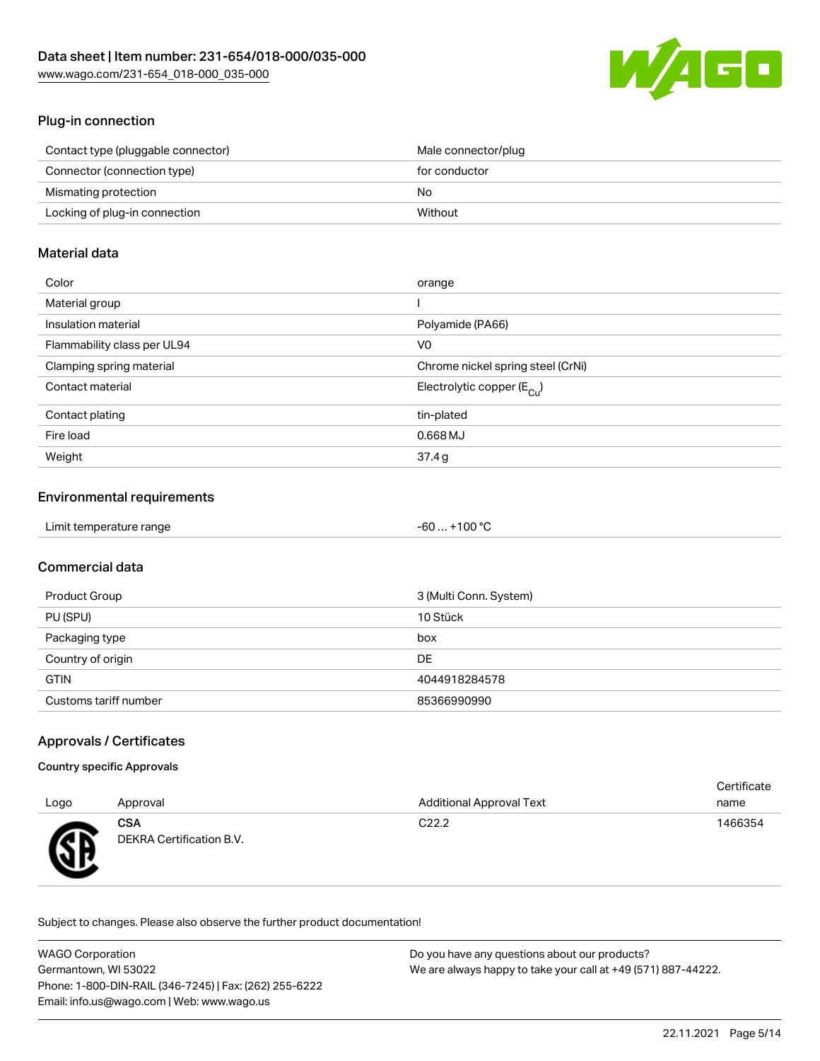

#### Plug-in connection

| Contact type (pluggable connector) | Male connector/plug |
|------------------------------------|---------------------|
| Connector (connection type)        | for conductor       |
| Mismating protection               | No                  |
| Locking of plug-in connection      | Without             |

### Material data

| Color                       | orange                                |
|-----------------------------|---------------------------------------|
| Material group              |                                       |
| Insulation material         | Polyamide (PA66)                      |
| Flammability class per UL94 | V <sub>0</sub>                        |
| Clamping spring material    | Chrome nickel spring steel (CrNi)     |
| Contact material            | Electrolytic copper $(E_{\text{Cl}})$ |
| Contact plating             | tin-plated                            |
| Fire load                   | $0.668$ MJ                            |
| Weight                      | 37.4g                                 |

#### Environmental requirements

| Limit temperature range | $-60+100 °C$<br>___ |
|-------------------------|---------------------|
|-------------------------|---------------------|

#### Commercial data

| Product Group         | 3 (Multi Conn. System) |
|-----------------------|------------------------|
| PU (SPU)              | 10 Stück               |
| Packaging type        | box                    |
| Country of origin     | DE                     |
| <b>GTIN</b>           | 4044918284578          |
| Customs tariff number | 85366990990            |

#### Approvals / Certificates

#### Country specific Approvals

| Logo        | Approval                               | <b>Additional Approval Text</b> | Certificate<br>name |
|-------------|----------------------------------------|---------------------------------|---------------------|
| Æ<br>$\sim$ | <b>CSA</b><br>DEKRA Certification B.V. | C <sub>22.2</sub>               | 1466354             |

Subject to changes. Please also observe the further product documentation!

| <b>WAGO Corporation</b>                                | Do you have any questions about our products?                 |
|--------------------------------------------------------|---------------------------------------------------------------|
| Germantown, WI 53022                                   | We are always happy to take your call at +49 (571) 887-44222. |
| Phone: 1-800-DIN-RAIL (346-7245)   Fax: (262) 255-6222 |                                                               |
| Email: info.us@wago.com   Web: www.wago.us             |                                                               |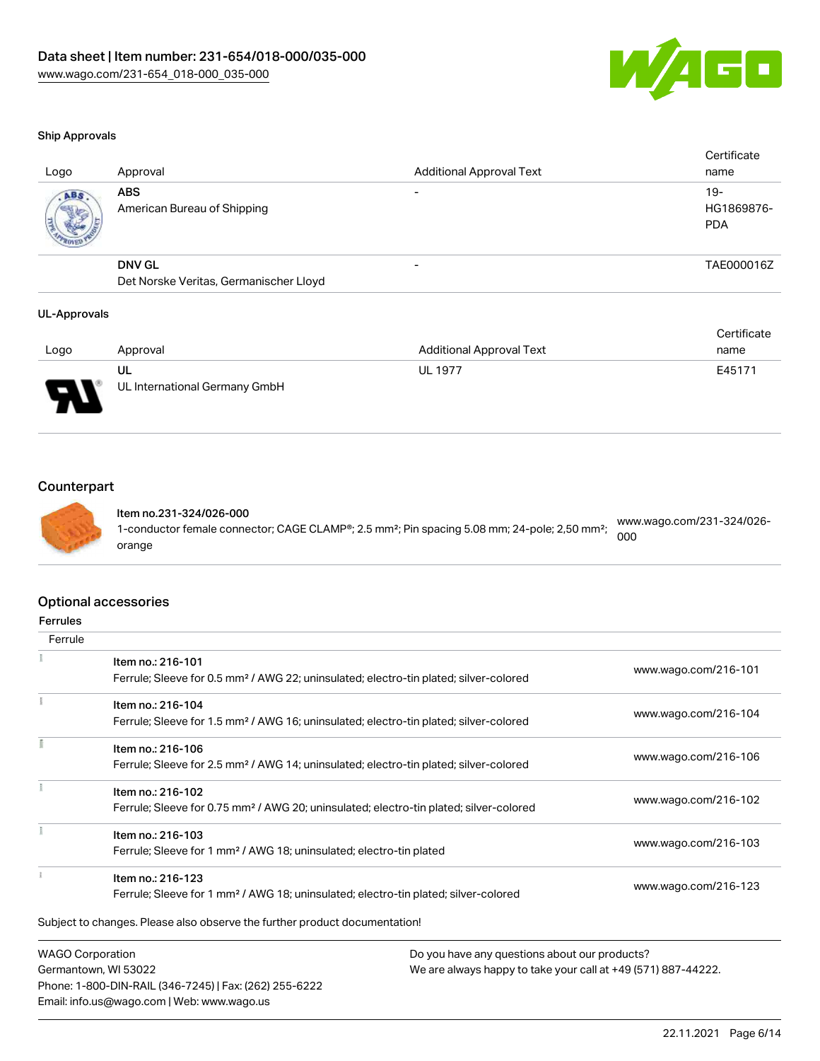

#### Ship Approvals

| Logo | Approval                                  | <b>Additional Approval Text</b> | Certificate<br>name               |
|------|-------------------------------------------|---------------------------------|-----------------------------------|
| ABS  | <b>ABS</b><br>American Bureau of Shipping |                                 | $19-$<br>HG1869876-<br><b>PDA</b> |
|      | <b>DNV GL</b>                             | $\overline{\phantom{0}}$        | TAE000016Z                        |
|      | Det Norske Veritas, Germanischer Lloyd    |                                 |                                   |
|      |                                           |                                 |                                   |

#### UL-Approvals

| Logo                               | Approval                            | <b>Additional Approval Text</b> | Certificate<br>name |
|------------------------------------|-------------------------------------|---------------------------------|---------------------|
| O<br>$\overline{\phantom{a}}$<br>ı | UL<br>UL International Germany GmbH | <b>UL 1977</b>                  | E45171              |

### **Counterpart**



Email: info.us@wago.com | Web: www.wago.us

Item no.231-324/026-000 1-conductor female connector; CAGE CLAMP®; 2.5 mm²; Pin spacing 5.08 mm; 24-pole; 2,50 mm²; orange [www.wago.com/231-324/026-](https://www.wago.com/231-324/026-000) [000](https://www.wago.com/231-324/026-000)

|                         | <b>Optional accessories</b>                                                                        |                                                               |                      |
|-------------------------|----------------------------------------------------------------------------------------------------|---------------------------------------------------------------|----------------------|
| <b>Ferrules</b>         |                                                                                                    |                                                               |                      |
| Ferrule                 |                                                                                                    |                                                               |                      |
|                         | Item no.: 216-101                                                                                  |                                                               |                      |
|                         | Ferrule; Sleeve for 0.5 mm <sup>2</sup> / AWG 22; uninsulated; electro-tin plated; silver-colored  |                                                               | www.wago.com/216-101 |
|                         | Item no.: 216-104                                                                                  |                                                               |                      |
|                         | Ferrule; Sleeve for 1.5 mm <sup>2</sup> / AWG 16; uninsulated; electro-tin plated; silver-colored  |                                                               | www.wago.com/216-104 |
|                         | Item no.: 216-106                                                                                  |                                                               |                      |
|                         | Ferrule; Sleeve for 2.5 mm <sup>2</sup> / AWG 14; uninsulated; electro-tin plated; silver-colored  |                                                               | www.wago.com/216-106 |
|                         | Item no.: 216-102                                                                                  |                                                               |                      |
|                         | Ferrule; Sleeve for 0.75 mm <sup>2</sup> / AWG 20; uninsulated; electro-tin plated; silver-colored |                                                               | www.wago.com/216-102 |
|                         | Item no.: 216-103                                                                                  |                                                               |                      |
|                         | Ferrule; Sleeve for 1 mm <sup>2</sup> / AWG 18; uninsulated; electro-tin plated                    |                                                               | www.wago.com/216-103 |
|                         | Item no.: 216-123                                                                                  |                                                               |                      |
|                         | Ferrule; Sleeve for 1 mm <sup>2</sup> / AWG 18; uninsulated; electro-tin plated; silver-colored    |                                                               | www.wago.com/216-123 |
|                         | Subject to changes. Please also observe the further product documentation!                         |                                                               |                      |
| <b>WAGO Corporation</b> |                                                                                                    | Do you have any questions about our products?                 |                      |
|                         | Germantown, WI 53022                                                                               | We are always happy to take your call at +49 (571) 887-44222. |                      |
|                         | Phone: 1-800-DIN-RAIL (346-7245)   Fax: (262) 255-6222                                             |                                                               |                      |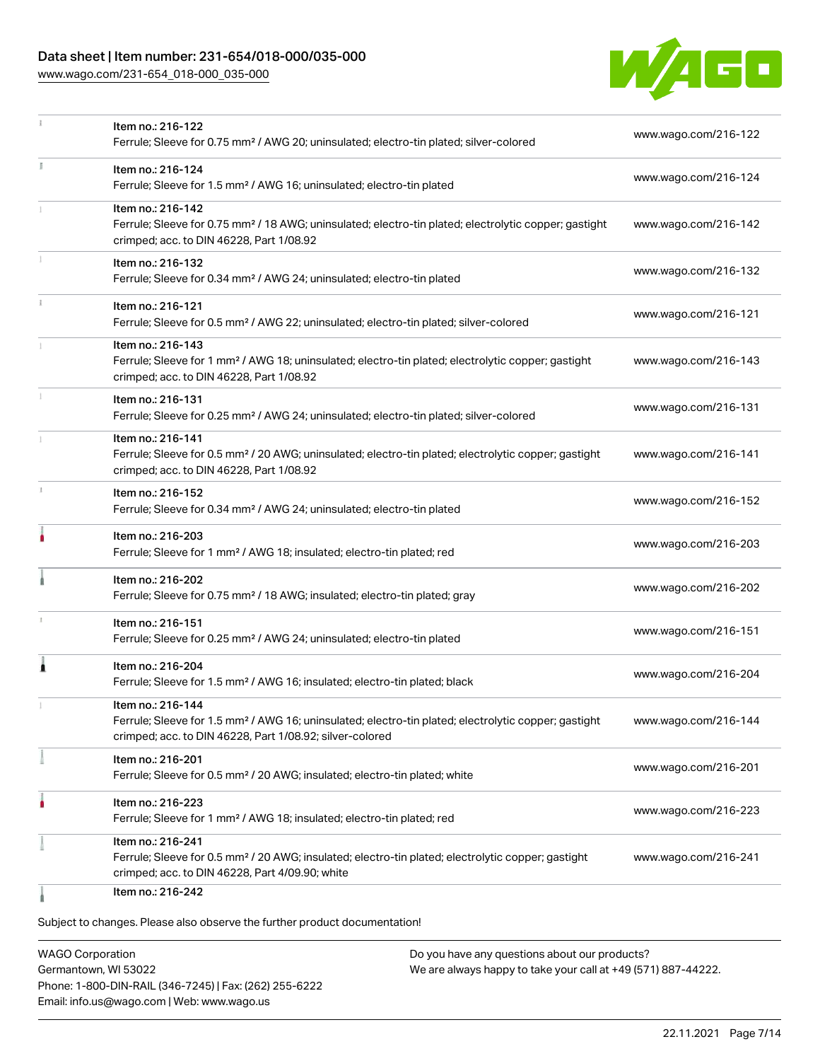#### Data sheet | Item number: 231-654/018-000/035-000

[www.wago.com/231-654\\_018-000\\_035-000](http://www.wago.com/231-654_018-000_035-000)



|   | Item no.: 216-122                                                                                                                                                 | www.wago.com/216-122 |
|---|-------------------------------------------------------------------------------------------------------------------------------------------------------------------|----------------------|
|   | Ferrule; Sleeve for 0.75 mm <sup>2</sup> / AWG 20; uninsulated; electro-tin plated; silver-colored                                                                |                      |
|   | Item no.: 216-124                                                                                                                                                 | www.wago.com/216-124 |
|   | Ferrule; Sleeve for 1.5 mm <sup>2</sup> / AWG 16; uninsulated; electro-tin plated                                                                                 |                      |
|   | Item no.: 216-142                                                                                                                                                 |                      |
|   | Ferrule; Sleeve for 0.75 mm <sup>2</sup> / 18 AWG; uninsulated; electro-tin plated; electrolytic copper; gastight<br>crimped; acc. to DIN 46228, Part 1/08.92     | www.wago.com/216-142 |
|   | Item no.: 216-132                                                                                                                                                 | www.wago.com/216-132 |
|   | Ferrule; Sleeve for 0.34 mm <sup>2</sup> / AWG 24; uninsulated; electro-tin plated                                                                                |                      |
|   | Item no.: 216-121                                                                                                                                                 | www.wago.com/216-121 |
|   | Ferrule; Sleeve for 0.5 mm <sup>2</sup> / AWG 22; uninsulated; electro-tin plated; silver-colored                                                                 |                      |
|   | Item no.: 216-143                                                                                                                                                 |                      |
|   | Ferrule; Sleeve for 1 mm <sup>2</sup> / AWG 18; uninsulated; electro-tin plated; electrolytic copper; gastight                                                    | www.wago.com/216-143 |
|   | crimped; acc. to DIN 46228, Part 1/08.92                                                                                                                          |                      |
|   | Item no.: 216-131<br>Ferrule; Sleeve for 0.25 mm <sup>2</sup> / AWG 24; uninsulated; electro-tin plated; silver-colored                                           | www.wago.com/216-131 |
|   |                                                                                                                                                                   |                      |
|   | Item no.: 216-141<br>Ferrule; Sleeve for 0.5 mm <sup>2</sup> / 20 AWG; uninsulated; electro-tin plated; electrolytic copper; gastight                             | www.wago.com/216-141 |
|   | crimped; acc. to DIN 46228, Part 1/08.92                                                                                                                          |                      |
|   | Item no.: 216-152                                                                                                                                                 |                      |
|   | Ferrule; Sleeve for 0.34 mm <sup>2</sup> / AWG 24; uninsulated; electro-tin plated                                                                                | www.wago.com/216-152 |
|   | Item no.: 216-203                                                                                                                                                 |                      |
|   | Ferrule; Sleeve for 1 mm <sup>2</sup> / AWG 18; insulated; electro-tin plated; red                                                                                | www.wago.com/216-203 |
|   | Item no.: 216-202                                                                                                                                                 |                      |
|   | Ferrule; Sleeve for 0.75 mm <sup>2</sup> / 18 AWG; insulated; electro-tin plated; gray                                                                            | www.wago.com/216-202 |
|   | Item no.: 216-151                                                                                                                                                 |                      |
|   | Ferrule; Sleeve for 0.25 mm <sup>2</sup> / AWG 24; uninsulated; electro-tin plated                                                                                | www.wago.com/216-151 |
| 1 | Item no.: 216-204                                                                                                                                                 |                      |
|   | Ferrule; Sleeve for 1.5 mm <sup>2</sup> / AWG 16; insulated; electro-tin plated; black                                                                            | www.wago.com/216-204 |
|   | Item no.: 216-144                                                                                                                                                 |                      |
|   | Ferrule; Sleeve for 1.5 mm <sup>2</sup> / AWG 16; uninsulated; electro-tin plated; electrolytic copper; gastight                                                  | www.wago.com/216-144 |
|   | crimped; acc. to DIN 46228, Part 1/08.92; silver-colored                                                                                                          |                      |
|   | Item no.: 216-201                                                                                                                                                 | www.wago.com/216-201 |
|   | Ferrule; Sleeve for 0.5 mm <sup>2</sup> / 20 AWG; insulated; electro-tin plated; white                                                                            |                      |
|   | Item no.: 216-223                                                                                                                                                 | www.wago.com/216-223 |
|   | Ferrule; Sleeve for 1 mm <sup>2</sup> / AWG 18; insulated; electro-tin plated; red                                                                                |                      |
|   | Item no.: 216-241                                                                                                                                                 |                      |
|   | Ferrule; Sleeve for 0.5 mm <sup>2</sup> / 20 AWG; insulated; electro-tin plated; electrolytic copper; gastight<br>crimped; acc. to DIN 46228, Part 4/09.90; white | www.wago.com/216-241 |
|   | Item no.: 216-242                                                                                                                                                 |                      |
|   |                                                                                                                                                                   |                      |

Subject to changes. Please also observe the further product documentation!

WAGO Corporation Germantown, WI 53022 Phone: 1-800-DIN-RAIL (346-7245) | Fax: (262) 255-6222 Email: info.us@wago.com | Web: www.wago.us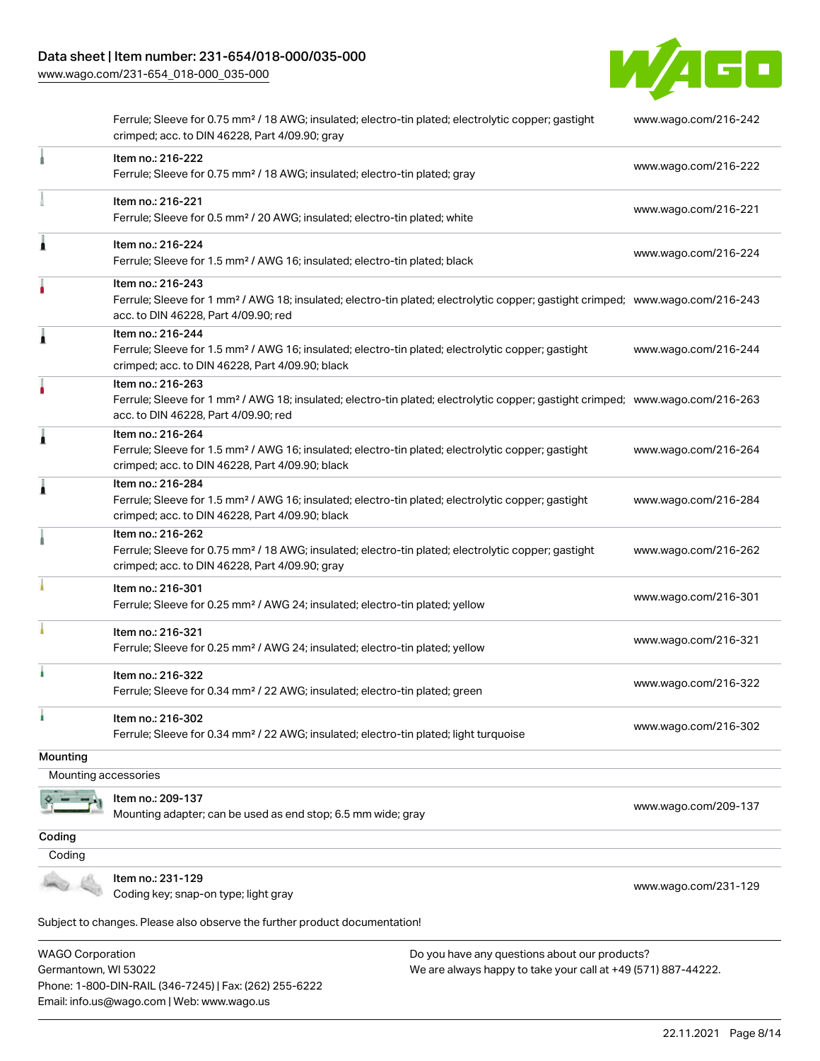### Data sheet | Item number: 231-654/018-000/035-000

[www.wago.com/231-654\\_018-000\\_035-000](http://www.wago.com/231-654_018-000_035-000)



|                      | Ferrule; Sleeve for 0.75 mm <sup>2</sup> / 18 AWG; insulated; electro-tin plated; electrolytic copper; gastight<br>crimped; acc. to DIN 46228, Part 4/09.90; gray                                       | www.wago.com/216-242 |
|----------------------|---------------------------------------------------------------------------------------------------------------------------------------------------------------------------------------------------------|----------------------|
|                      | Item no.: 216-222<br>Ferrule; Sleeve for 0.75 mm <sup>2</sup> / 18 AWG; insulated; electro-tin plated; gray                                                                                             | www.wago.com/216-222 |
|                      | Item no.: 216-221<br>Ferrule; Sleeve for 0.5 mm <sup>2</sup> / 20 AWG; insulated; electro-tin plated; white                                                                                             | www.wago.com/216-221 |
| Ă                    | Item no.: 216-224<br>Ferrule; Sleeve for 1.5 mm <sup>2</sup> / AWG 16; insulated; electro-tin plated; black                                                                                             | www.wago.com/216-224 |
|                      | Item no.: 216-243<br>Ferrule; Sleeve for 1 mm <sup>2</sup> / AWG 18; insulated; electro-tin plated; electrolytic copper; gastight crimped; www.wago.com/216-243<br>acc. to DIN 46228, Part 4/09.90; red |                      |
| 1                    | Item no.: 216-244<br>Ferrule; Sleeve for 1.5 mm <sup>2</sup> / AWG 16; insulated; electro-tin plated; electrolytic copper; gastight<br>crimped; acc. to DIN 46228, Part 4/09.90; black                  | www.wago.com/216-244 |
| ٠                    | Item no.: 216-263<br>Ferrule; Sleeve for 1 mm <sup>2</sup> / AWG 18; insulated; electro-tin plated; electrolytic copper; gastight crimped; www.wago.com/216-263<br>acc. to DIN 46228, Part 4/09.90; red |                      |
| 1                    | Item no.: 216-264<br>Ferrule; Sleeve for 1.5 mm <sup>2</sup> / AWG 16; insulated; electro-tin plated; electrolytic copper; gastight<br>crimped; acc. to DIN 46228, Part 4/09.90; black                  | www.wago.com/216-264 |
| Ă                    | Item no.: 216-284<br>Ferrule; Sleeve for 1.5 mm <sup>2</sup> / AWG 16; insulated; electro-tin plated; electrolytic copper; gastight<br>crimped; acc. to DIN 46228, Part 4/09.90; black                  | www.wago.com/216-284 |
|                      | Item no.: 216-262<br>Ferrule; Sleeve for 0.75 mm <sup>2</sup> / 18 AWG; insulated; electro-tin plated; electrolytic copper; gastight<br>crimped; acc. to DIN 46228, Part 4/09.90; gray                  | www.wago.com/216-262 |
|                      | Item no.: 216-301<br>Ferrule; Sleeve for 0.25 mm <sup>2</sup> / AWG 24; insulated; electro-tin plated; yellow                                                                                           | www.wago.com/216-301 |
|                      | Item no.: 216-321<br>Ferrule; Sleeve for 0.25 mm <sup>2</sup> / AWG 24; insulated; electro-tin plated; yellow                                                                                           | www.wago.com/216-321 |
|                      | Item no.: 216-322<br>Ferrule; Sleeve for 0.34 mm <sup>2</sup> / 22 AWG; insulated; electro-tin plated; green                                                                                            | www.wago.com/216-322 |
|                      | Item no.: 216-302<br>Ferrule; Sleeve for 0.34 mm <sup>2</sup> / 22 AWG; insulated; electro-tin plated; light turquoise                                                                                  | www.wago.com/216-302 |
| Mounting             |                                                                                                                                                                                                         |                      |
| Mounting accessories |                                                                                                                                                                                                         |                      |
|                      | Item no.: 209-137<br>Mounting adapter; can be used as end stop; 6.5 mm wide; gray                                                                                                                       | www.wago.com/209-137 |
| Coding               |                                                                                                                                                                                                         |                      |
| Coding               |                                                                                                                                                                                                         |                      |
|                      | Item no.: 231-129<br>Coding key; snap-on type; light gray                                                                                                                                               | www.wago.com/231-129 |
|                      | Subject to changes. Please also observe the further product documentation!                                                                                                                              |                      |

Subject to changes. Please also observe the further product documentation!

WAGO Corporation Germantown, WI 53022 Phone: 1-800-DIN-RAIL (346-7245) | Fax: (262) 255-6222 Email: info.us@wago.com | Web: www.wago.us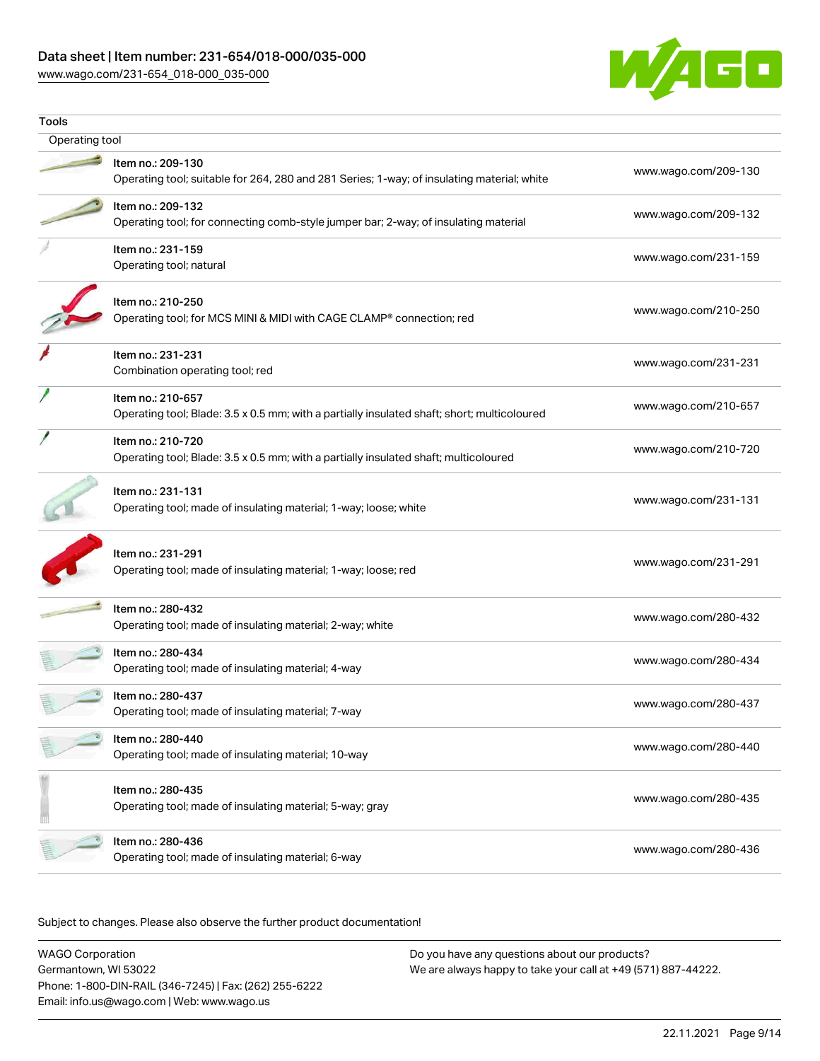#### Data sheet | Item number: 231-654/018-000/035-000

[www.wago.com/231-654\\_018-000\\_035-000](http://www.wago.com/231-654_018-000_035-000)



| Tools          |                                                                                                                  |                      |
|----------------|------------------------------------------------------------------------------------------------------------------|----------------------|
| Operating tool |                                                                                                                  |                      |
|                | Item no.: 209-130<br>Operating tool; suitable for 264, 280 and 281 Series; 1-way; of insulating material; white  | www.wago.com/209-130 |
|                | Item no.: 209-132<br>Operating tool; for connecting comb-style jumper bar; 2-way; of insulating material         | www.wago.com/209-132 |
|                | Item no.: 231-159<br>Operating tool; natural                                                                     | www.wago.com/231-159 |
|                | Item no.: 210-250<br>Operating tool; for MCS MINI & MIDI with CAGE CLAMP® connection; red                        | www.wago.com/210-250 |
|                | Item no.: 231-231<br>Combination operating tool; red                                                             | www.wago.com/231-231 |
|                | Item no.: 210-657<br>Operating tool; Blade: 3.5 x 0.5 mm; with a partially insulated shaft; short; multicoloured | www.wago.com/210-657 |
|                | Item no.: 210-720<br>Operating tool; Blade: 3.5 x 0.5 mm; with a partially insulated shaft; multicoloured        | www.wago.com/210-720 |
|                | Item no.: 231-131<br>Operating tool; made of insulating material; 1-way; loose; white                            | www.wago.com/231-131 |
|                | Item no.: 231-291<br>Operating tool; made of insulating material; 1-way; loose; red                              | www.wago.com/231-291 |
|                | Item no.: 280-432<br>Operating tool; made of insulating material; 2-way; white                                   | www.wago.com/280-432 |
|                | Item no.: 280-434<br>Operating tool; made of insulating material; 4-way                                          | www.wago.com/280-434 |
|                | Item no.: 280-437<br>Operating tool; made of insulating material; 7-way                                          | www.wago.com/280-437 |
|                | Item no.: 280-440<br>Operating tool; made of insulating material; 10-way                                         | www.wago.com/280-440 |
|                | Item no.: 280-435<br>Operating tool; made of insulating material; 5-way; gray                                    | www.wago.com/280-435 |
|                | Item no.: 280-436<br>Operating tool; made of insulating material; 6-way                                          | www.wago.com/280-436 |

Subject to changes. Please also observe the further product documentation!

WAGO Corporation Germantown, WI 53022 Phone: 1-800-DIN-RAIL (346-7245) | Fax: (262) 255-6222 Email: info.us@wago.com | Web: www.wago.us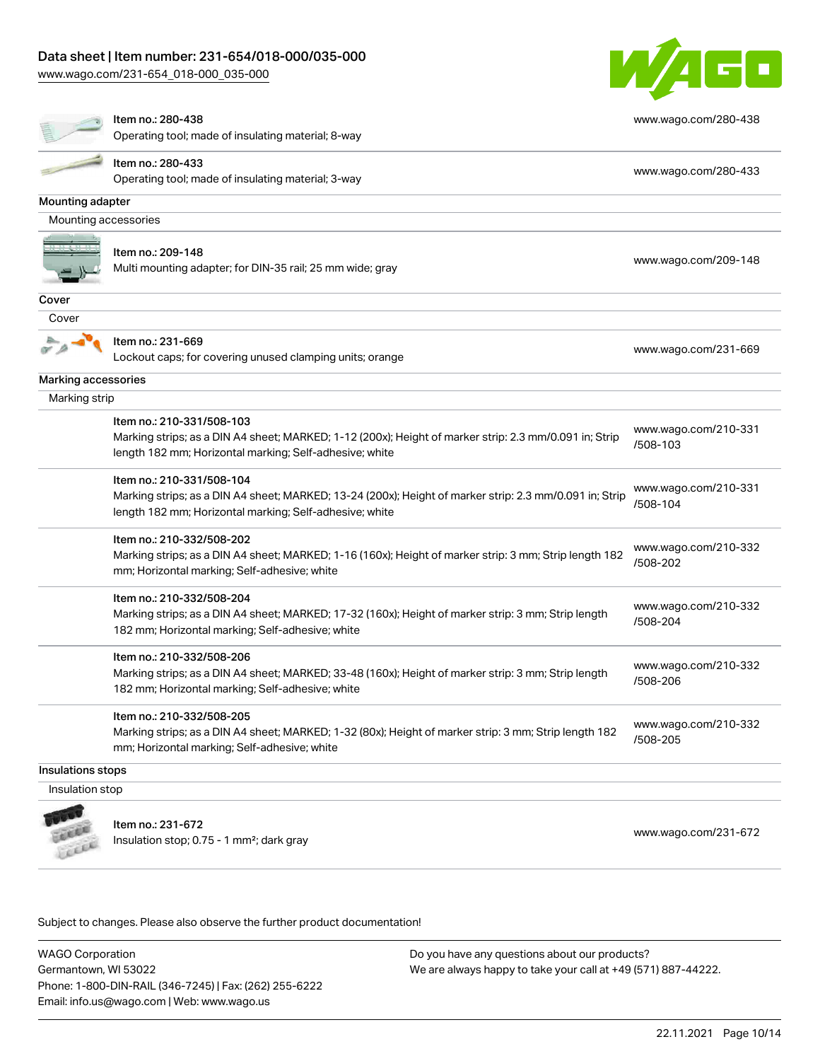[www.wago.com/231-654\\_018-000\\_035-000](http://www.wago.com/231-654_018-000_035-000)



|                      | Item no.: 280-438<br>Operating tool; made of insulating material; 8-way                                                                                                                         | www.wago.com/280-438             |
|----------------------|-------------------------------------------------------------------------------------------------------------------------------------------------------------------------------------------------|----------------------------------|
|                      | Item no.: 280-433<br>Operating tool; made of insulating material; 3-way                                                                                                                         | www.wago.com/280-433             |
| Mounting adapter     |                                                                                                                                                                                                 |                                  |
| Mounting accessories |                                                                                                                                                                                                 |                                  |
|                      | Item no.: 209-148<br>Multi mounting adapter; for DIN-35 rail; 25 mm wide; gray                                                                                                                  | www.wago.com/209-148             |
| Cover                |                                                                                                                                                                                                 |                                  |
| Cover                |                                                                                                                                                                                                 |                                  |
|                      | Item no.: 231-669<br>Lockout caps; for covering unused clamping units; orange                                                                                                                   | www.wago.com/231-669             |
| Marking accessories  |                                                                                                                                                                                                 |                                  |
| Marking strip        |                                                                                                                                                                                                 |                                  |
|                      | Item no.: 210-331/508-103<br>Marking strips; as a DIN A4 sheet; MARKED; 1-12 (200x); Height of marker strip: 2.3 mm/0.091 in; Strip<br>length 182 mm; Horizontal marking; Self-adhesive; white  | www.wago.com/210-331<br>/508-103 |
|                      | Item no.: 210-331/508-104<br>Marking strips; as a DIN A4 sheet; MARKED; 13-24 (200x); Height of marker strip: 2.3 mm/0.091 in; Strip<br>length 182 mm; Horizontal marking; Self-adhesive; white | www.wago.com/210-331<br>/508-104 |
|                      | Item no.: 210-332/508-202<br>Marking strips; as a DIN A4 sheet; MARKED; 1-16 (160x); Height of marker strip: 3 mm; Strip length 182<br>mm; Horizontal marking; Self-adhesive; white             | www.wago.com/210-332<br>/508-202 |
|                      | Item no.: 210-332/508-204<br>Marking strips; as a DIN A4 sheet; MARKED; 17-32 (160x); Height of marker strip: 3 mm; Strip length<br>182 mm; Horizontal marking; Self-adhesive; white            | www.wago.com/210-332<br>/508-204 |
|                      | Item no.: 210-332/508-206<br>Marking strips; as a DIN A4 sheet; MARKED; 33-48 (160x); Height of marker strip: 3 mm; Strip length<br>182 mm; Horizontal marking; Self-adhesive; white            | www.wago.com/210-332<br>/508-206 |
|                      | Item no.: 210-332/508-205<br>Marking strips; as a DIN A4 sheet; MARKED; 1-32 (80x); Height of marker strip: 3 mm; Strip length 182<br>mm; Horizontal marking; Self-adhesive; white              | www.wago.com/210-332<br>/508-205 |
| Insulations stops    |                                                                                                                                                                                                 |                                  |
| Insulation stop      |                                                                                                                                                                                                 |                                  |
|                      | Item no.: 231-672<br>Insulation stop; 0.75 - 1 mm <sup>2</sup> ; dark gray                                                                                                                      | www.wago.com/231-672             |

Subject to changes. Please also observe the further product documentation!

WAGO Corporation Germantown, WI 53022 Phone: 1-800-DIN-RAIL (346-7245) | Fax: (262) 255-6222 Email: info.us@wago.com | Web: www.wago.us Do you have any questions about our products? We are always happy to take your call at +49 (571) 887-44222.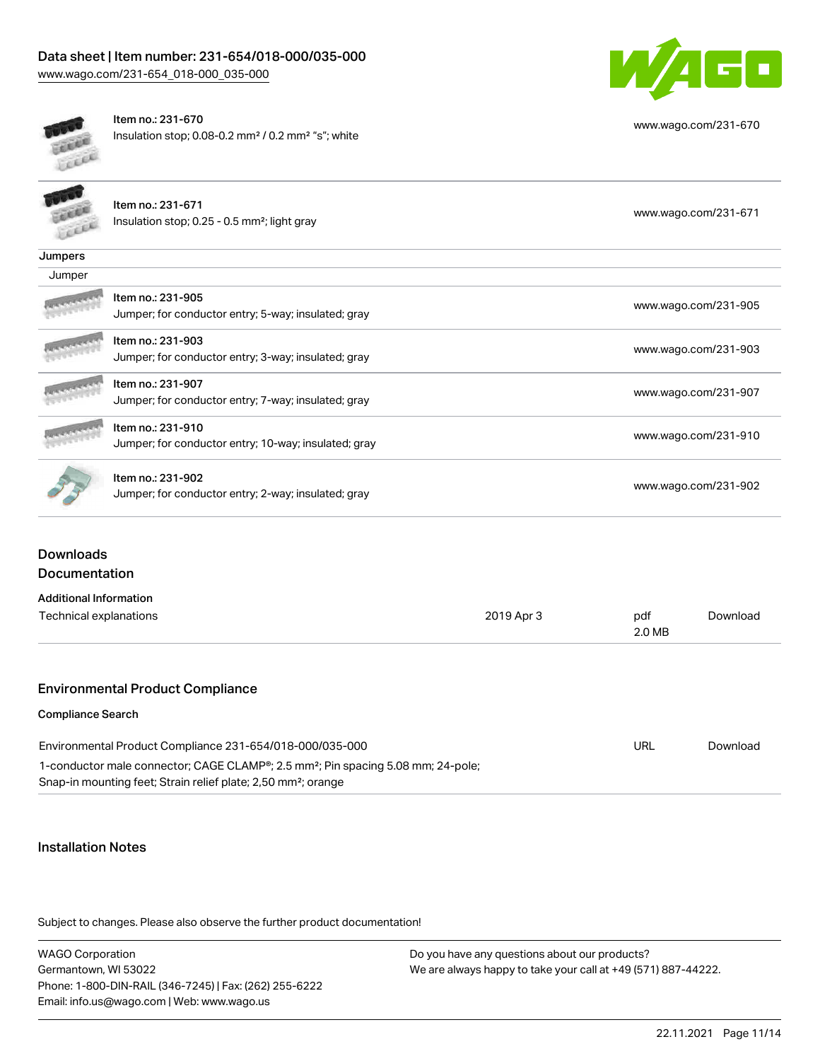

[www.wago.com/231-670](http://www.wago.com/231-670)



Item no.: 231-670 Insulation stop; 0.08-0.2 mm² / 0.2 mm² "s"; white

|         | Item no.: 231-671<br>Insulation stop; 0.25 - 0.5 mm <sup>2</sup> ; light gray | www.wago.com/231-671 |
|---------|-------------------------------------------------------------------------------|----------------------|
| Jumpers |                                                                               |                      |
| Jumper  |                                                                               |                      |
|         | Item no.: 231-905<br>Jumper; for conductor entry; 5-way; insulated; gray      | www.wago.com/231-905 |
|         | Item no.: 231-903<br>Jumper; for conductor entry; 3-way; insulated; gray      | www.wago.com/231-903 |
|         | Item no.: 231-907<br>Jumper; for conductor entry; 7-way; insulated; gray      | www.wago.com/231-907 |
|         | Item no.: 231-910<br>Jumper; for conductor entry; 10-way; insulated; gray     | www.wago.com/231-910 |
|         | Item no.: 231-902<br>Jumper; for conductor entry; 2-way; insulated; gray      | www.wago.com/231-902 |

### Downloads Documentation

| <b>Additional Information</b>                                                                |            |               |          |
|----------------------------------------------------------------------------------------------|------------|---------------|----------|
| Technical explanations                                                                       | 2019 Apr 3 | pdf<br>2.0 MB | Download |
|                                                                                              |            |               |          |
| <b>Environmental Product Compliance</b>                                                      |            |               |          |
| <b>Compliance Search</b>                                                                     |            |               |          |
| Environmental Product Compliance 231-654/018-000/035-000                                     |            | URL           | Download |
| 1-conductor male connector; CAGE CLAMP®; 2.5 mm <sup>2</sup> ; Pin spacing 5.08 mm; 24-pole; |            |               |          |

Snap-in mounting feet; Strain relief plate; 2,50 mm²; orange

#### Installation Notes

Subject to changes. Please also observe the further product documentation!

WAGO Corporation Germantown, WI 53022 Phone: 1-800-DIN-RAIL (346-7245) | Fax: (262) 255-6222 Email: info.us@wago.com | Web: www.wago.us Do you have any questions about our products? We are always happy to take your call at +49 (571) 887-44222.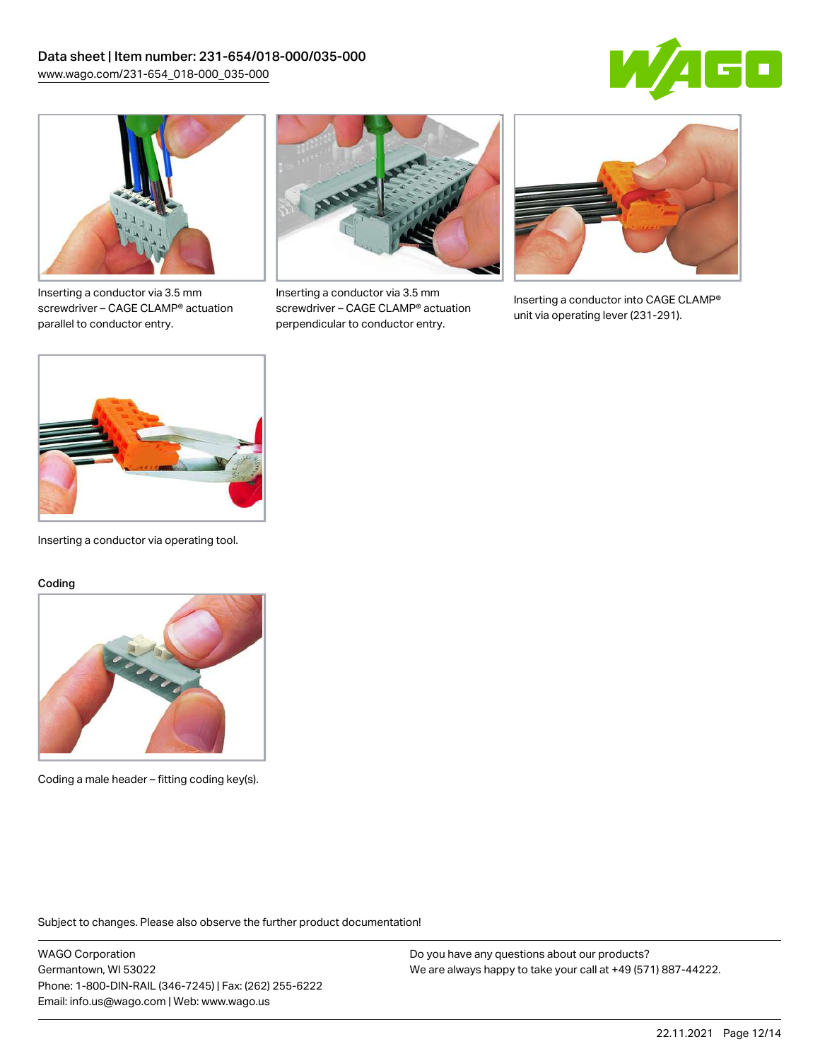



Inserting a conductor via 3.5 mm screwdriver – CAGE CLAMP® actuation parallel to conductor entry.



Inserting a conductor via 3.5 mm screwdriver – CAGE CLAMP® actuation perpendicular to conductor entry.



Inserting a conductor into CAGE CLAMP® unit via operating lever (231-291).



Inserting a conductor via operating tool.

#### Coding



Coding a male header – fitting coding key(s).

Subject to changes. Please also observe the further product documentation!

WAGO Corporation Germantown, WI 53022 Phone: 1-800-DIN-RAIL (346-7245) | Fax: (262) 255-6222 Email: info.us@wago.com | Web: www.wago.us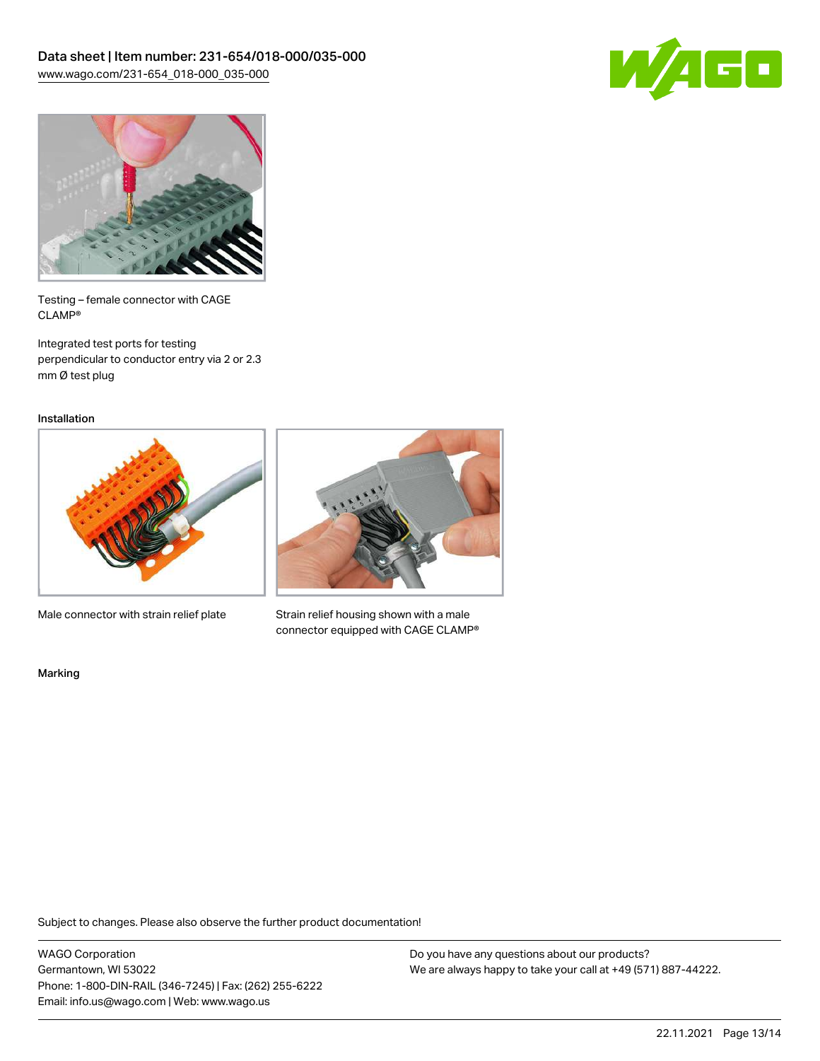



Testing – female connector with CAGE CLAMP®

Integrated test ports for testing perpendicular to conductor entry via 2 or 2.3 mm Ø test plug

Installation



Male connector with strain relief plate



Strain relief housing shown with a male connector equipped with CAGE CLAMP®

Marking

Subject to changes. Please also observe the further product documentation!

WAGO Corporation Germantown, WI 53022 Phone: 1-800-DIN-RAIL (346-7245) | Fax: (262) 255-6222 Email: info.us@wago.com | Web: www.wago.us